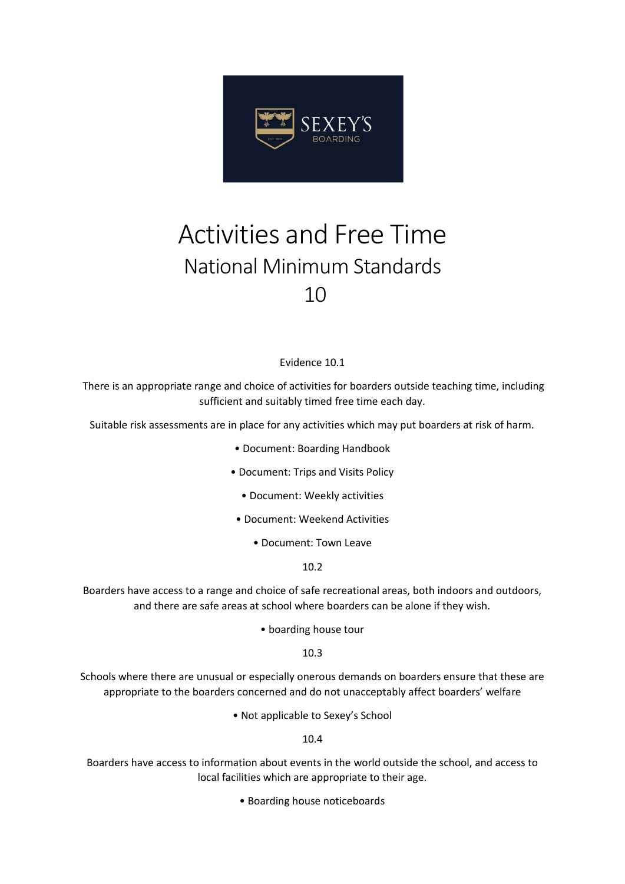

## Activities and Free Time National Minimum Standards 10

## Evidence 10.1

There is an appropriate range and choice of activities for boarders outside teaching time, including sufficient and suitably timed free time each day.

Suitable risk assessments are in place for any activities which may put boarders at risk of harm.

- Document: Boarding Handbook
- Document: Trips and Visits Policy
	- Document: Weekly activities
- Document: Weekend Activities
	- Document: Town Leave

10.2

Boarders have access to a range and choice of safe recreational areas, both indoors and outdoors, and there are safe areas at school where boarders can be alone if they wish.

• boarding house tour

10.3

Schools where there are unusual or especially onerous demands on boarders ensure that these are appropriate to the boarders concerned and do not unacceptably affect boarders' welfare

• Not applicable to Sexey's School

10.4

Boarders have access to information about events in the world outside the school, and access to local facilities which are appropriate to their age.

• Boarding house noticeboards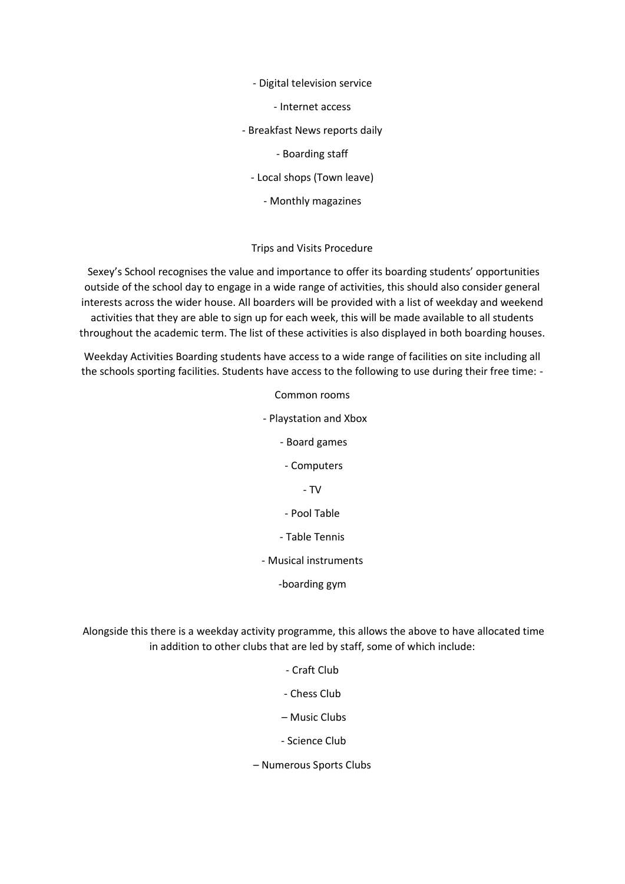- Digital television service

- Internet access

- Breakfast News reports daily

- Boarding staff

- Local shops (Town leave)

- Monthly magazines

## Trips and Visits Procedure

Sexey's School recognises the value and importance to offer its boarding students' opportunities outside of the school day to engage in a wide range of activities, this should also consider general interests across the wider house. All boarders will be provided with a list of weekday and weekend activities that they are able to sign up for each week, this will be made available to all students throughout the academic term. The list of these activities is also displayed in both boarding houses.

Weekday Activities Boarding students have access to a wide range of facilities on site including all the schools sporting facilities. Students have access to the following to use during their free time: -

> Common rooms - Playstation and Xbox - Board games - Computers - TV - Pool Table - Table Tennis - Musical instruments -boarding gym

Alongside this there is a weekday activity programme, this allows the above to have allocated time in addition to other clubs that are led by staff, some of which include:

- Craft Club
- Chess Club
- Music Clubs
- Science Club
- Numerous Sports Clubs